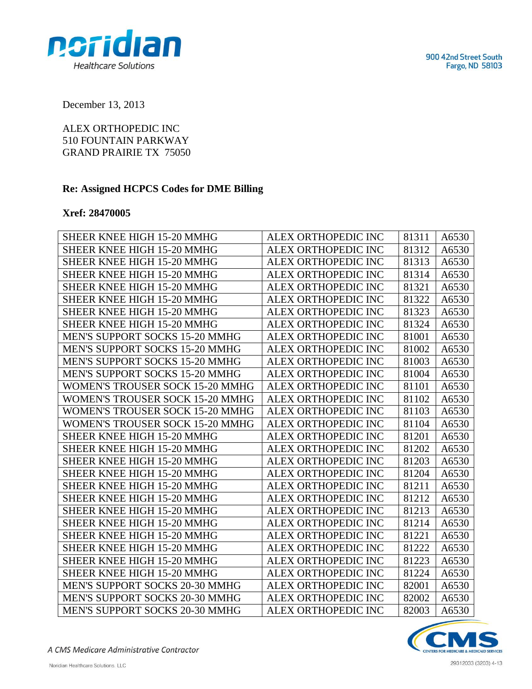900 42nd Street South Fargo, ND 58103



December 13, 2013

ALEX ORTHOPEDIC INC 510 FOUNTAIN PARKWAY GRAND PRAIRIE TX 75050

## **Re: Assigned HCPCS Codes for DME Billing**

## **Xref: 28470005**

| SHEER KNEE HIGH 15-20 MMHG             | ALEX ORTHOPEDIC INC        | 81311 | A6530 |
|----------------------------------------|----------------------------|-------|-------|
| SHEER KNEE HIGH 15-20 MMHG             | ALEX ORTHOPEDIC INC        | 81312 | A6530 |
| SHEER KNEE HIGH 15-20 MMHG             | ALEX ORTHOPEDIC INC        | 81313 | A6530 |
| SHEER KNEE HIGH 15-20 MMHG             | ALEX ORTHOPEDIC INC        | 81314 | A6530 |
| SHEER KNEE HIGH 15-20 MMHG             | ALEX ORTHOPEDIC INC        | 81321 | A6530 |
| <b>SHEER KNEE HIGH 15-20 MMHG</b>      | <b>ALEX ORTHOPEDIC INC</b> | 81322 | A6530 |
| <b>SHEER KNEE HIGH 15-20 MMHG</b>      | ALEX ORTHOPEDIC INC        | 81323 | A6530 |
| SHEER KNEE HIGH 15-20 MMHG             | ALEX ORTHOPEDIC INC        | 81324 | A6530 |
| MEN'S SUPPORT SOCKS 15-20 MMHG         | ALEX ORTHOPEDIC INC        | 81001 | A6530 |
| MEN'S SUPPORT SOCKS 15-20 MMHG         | ALEX ORTHOPEDIC INC        | 81002 | A6530 |
| MEN'S SUPPORT SOCKS 15-20 MMHG         | ALEX ORTHOPEDIC INC        | 81003 | A6530 |
| <b>MEN'S SUPPORT SOCKS 15-20 MMHG</b>  | ALEX ORTHOPEDIC INC        | 81004 | A6530 |
| <b>WOMEN'S TROUSER SOCK 15-20 MMHG</b> | ALEX ORTHOPEDIC INC        | 81101 | A6530 |
| WOMEN'S TROUSER SOCK 15-20 MMHG        | ALEX ORTHOPEDIC INC        | 81102 | A6530 |
| WOMEN'S TROUSER SOCK 15-20 MMHG        | ALEX ORTHOPEDIC INC        | 81103 | A6530 |
| WOMEN'S TROUSER SOCK 15-20 MMHG        | ALEX ORTHOPEDIC INC        | 81104 | A6530 |
| <b>SHEER KNEE HIGH 15-20 MMHG</b>      | ALEX ORTHOPEDIC INC        | 81201 | A6530 |
| SHEER KNEE HIGH 15-20 MMHG             | ALEX ORTHOPEDIC INC        | 81202 | A6530 |
| <b>SHEER KNEE HIGH 15-20 MMHG</b>      | ALEX ORTHOPEDIC INC        | 81203 | A6530 |
| <b>SHEER KNEE HIGH 15-20 MMHG</b>      | ALEX ORTHOPEDIC INC        | 81204 | A6530 |
| SHEER KNEE HIGH 15-20 MMHG             | ALEX ORTHOPEDIC INC        | 81211 | A6530 |
| <b>SHEER KNEE HIGH 15-20 MMHG</b>      | ALEX ORTHOPEDIC INC        | 81212 | A6530 |
| <b>SHEER KNEE HIGH 15-20 MMHG</b>      | ALEX ORTHOPEDIC INC        | 81213 | A6530 |
| <b>SHEER KNEE HIGH 15-20 MMHG</b>      | ALEX ORTHOPEDIC INC        | 81214 | A6530 |
| SHEER KNEE HIGH 15-20 MMHG             | ALEX ORTHOPEDIC INC        | 81221 | A6530 |
| SHEER KNEE HIGH 15-20 MMHG             | ALEX ORTHOPEDIC INC        | 81222 | A6530 |
| <b>SHEER KNEE HIGH 15-20 MMHG</b>      | <b>ALEX ORTHOPEDIC INC</b> | 81223 | A6530 |
| SHEER KNEE HIGH 15-20 MMHG             | <b>ALEX ORTHOPEDIC INC</b> | 81224 | A6530 |
| MEN'S SUPPORT SOCKS 20-30 MMHG         | ALEX ORTHOPEDIC INC        | 82001 | A6530 |
| MEN'S SUPPORT SOCKS 20-30 MMHG         | ALEX ORTHOPEDIC INC        | 82002 | A6530 |
| MEN'S SUPPORT SOCKS 20-30 MMHG         | <b>ALEX ORTHOPEDIC INC</b> | 82003 | A6530 |

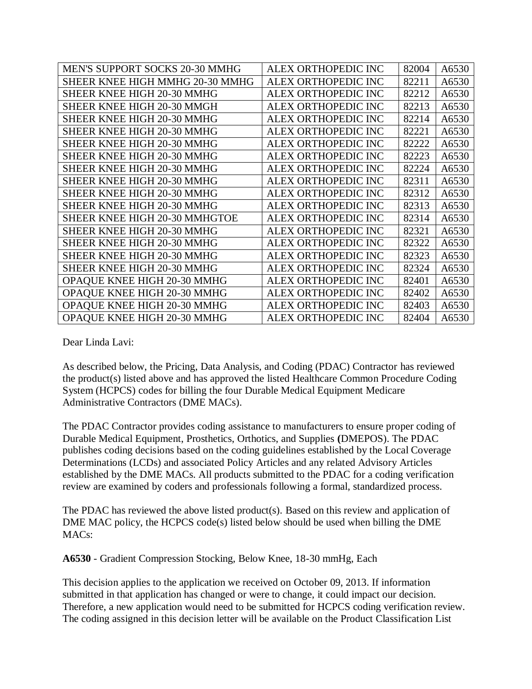| MEN'S SUPPORT SOCKS 20-30 MMHG    | ALEX ORTHOPEDIC INC | 82004 | A6530 |
|-----------------------------------|---------------------|-------|-------|
| SHEER KNEE HIGH MMHG 20-30 MMHG   | ALEX ORTHOPEDIC INC | 82211 | A6530 |
| SHEER KNEE HIGH 20-30 MMHG        | ALEX ORTHOPEDIC INC | 82212 | A6530 |
| <b>SHEER KNEE HIGH 20-30 MMGH</b> | ALEX ORTHOPEDIC INC | 82213 | A6530 |
| SHEER KNEE HIGH 20-30 MMHG        | ALEX ORTHOPEDIC INC | 82214 | A6530 |
| <b>SHEER KNEE HIGH 20-30 MMHG</b> | ALEX ORTHOPEDIC INC | 82221 | A6530 |
| SHEER KNEE HIGH 20-30 MMHG        | ALEX ORTHOPEDIC INC | 82222 | A6530 |
| <b>SHEER KNEE HIGH 20-30 MMHG</b> | ALEX ORTHOPEDIC INC | 82223 | A6530 |
| SHEER KNEE HIGH 20-30 MMHG        | ALEX ORTHOPEDIC INC | 82224 | A6530 |
| <b>SHEER KNEE HIGH 20-30 MMHG</b> | ALEX ORTHOPEDIC INC | 82311 | A6530 |
| SHEER KNEE HIGH 20-30 MMHG        | ALEX ORTHOPEDIC INC | 82312 | A6530 |
| <b>SHEER KNEE HIGH 20-30 MMHG</b> | ALEX ORTHOPEDIC INC | 82313 | A6530 |
| SHEER KNEE HIGH 20-30 MMHGTOE     | ALEX ORTHOPEDIC INC | 82314 | A6530 |
| SHEER KNEE HIGH 20-30 MMHG        | ALEX ORTHOPEDIC INC | 82321 | A6530 |
| SHEER KNEE HIGH 20-30 MMHG        | ALEX ORTHOPEDIC INC | 82322 | A6530 |
| <b>SHEER KNEE HIGH 20-30 MMHG</b> | ALEX ORTHOPEDIC INC | 82323 | A6530 |
| SHEER KNEE HIGH 20-30 MMHG        | ALEX ORTHOPEDIC INC | 82324 | A6530 |
| OPAQUE KNEE HIGH 20-30 MMHG       | ALEX ORTHOPEDIC INC | 82401 | A6530 |
| OPAQUE KNEE HIGH 20-30 MMHG       | ALEX ORTHOPEDIC INC | 82402 | A6530 |
| OPAQUE KNEE HIGH 20-30 MMHG       | ALEX ORTHOPEDIC INC | 82403 | A6530 |
| OPAQUE KNEE HIGH 20-30 MMHG       | ALEX ORTHOPEDIC INC | 82404 | A6530 |

Dear Linda Lavi:

As described below, the Pricing, Data Analysis, and Coding (PDAC) Contractor has reviewed the product(s) listed above and has approved the listed Healthcare Common Procedure Coding System (HCPCS) codes for billing the four Durable Medical Equipment Medicare Administrative Contractors (DME MACs).

The PDAC Contractor provides coding assistance to manufacturers to ensure proper coding of Durable Medical Equipment, Prosthetics, Orthotics, and Supplies **(**DMEPOS). The PDAC publishes coding decisions based on the coding guidelines established by the Local Coverage Determinations (LCDs) and associated Policy Articles and any related Advisory Articles established by the DME MACs. All products submitted to the PDAC for a coding verification review are examined by coders and professionals following a formal, standardized process.

The PDAC has reviewed the above listed product(s). Based on this review and application of DME MAC policy, the HCPCS code(s) listed below should be used when billing the DME MACs:

**A6530** - Gradient Compression Stocking, Below Knee, 18-30 mmHg, Each

This decision applies to the application we received on October 09, 2013. If information submitted in that application has changed or were to change, it could impact our decision. Therefore, a new application would need to be submitted for HCPCS coding verification review. The coding assigned in this decision letter will be available on the Product Classification List